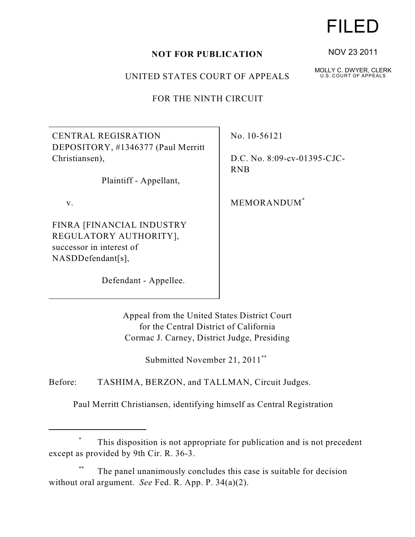## **NOT FOR PUBLICATION**

UNITED STATES COURT OF APPEALS

FOR THE NINTH CIRCUIT

CENTRAL REGISRATION DEPOSITORY, #1346377 (Paul Merritt Christiansen),

Plaintiff - Appellant,

v.

FINRA [FINANCIAL INDUSTRY REGULATORY AUTHORITY], successor in interest of NASDDefendant[s],

Defendant - Appellee.

No. 10-56121

D.C. No. 8:09-cv-01395-CJC-RNB

MEMORANDUM\*

Appeal from the United States District Court for the Central District of California Cormac J. Carney, District Judge, Presiding

Submitted November 21, 2011<sup>\*\*</sup>

Before: TASHIMA, BERZON, and TALLMAN, Circuit Judges.

Paul Merritt Christiansen, identifying himself as Central Registration

## This disposition is not appropriate for publication and is not precedent \* except as provided by 9th Cir. R. 36-3.

The panel unanimously concludes this case is suitable for decision \*\* without oral argument. *See* Fed. R. App. P. 34(a)(2).

## FILED

NOV 23 2011

MOLLY C. DWYER, CLERK U.S. COURT OF APPEALS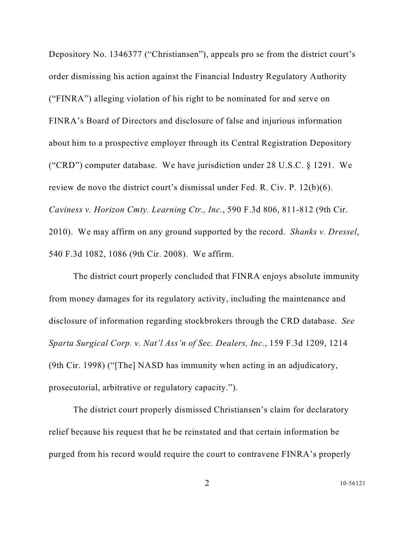Depository No. 1346377 ("Christiansen"), appeals pro se from the district court's order dismissing his action against the Financial Industry Regulatory Authority ("FINRA") alleging violation of his right to be nominated for and serve on FINRA's Board of Directors and disclosure of false and injurious information about him to a prospective employer through its Central Registration Depository ("CRD") computer database. We have jurisdiction under 28 U.S.C. § 1291. We review de novo the district court's dismissal under Fed. R. Civ. P. 12(b)(6). *Caviness v. Horizon Cmty. Learning Ctr., Inc.*, 590 F.3d 806, 811-812 (9th Cir. 2010). We may affirm on any ground supported by the record. *Shanks v. Dressel*, 540 F.3d 1082, 1086 (9th Cir. 2008). We affirm.

The district court properly concluded that FINRA enjoys absolute immunity from money damages for its regulatory activity, including the maintenance and disclosure of information regarding stockbrokers through the CRD database. *See Sparta Surgical Corp. v. Nat'l Ass'n of Sec. Dealers, Inc.*, 159 F.3d 1209, 1214 (9th Cir. 1998) ("[The] NASD has immunity when acting in an adjudicatory, prosecutorial, arbitrative or regulatory capacity.").

The district court properly dismissed Christiansen's claim for declaratory relief because his request that he be reinstated and that certain information be purged from his record would require the court to contravene FINRA's properly